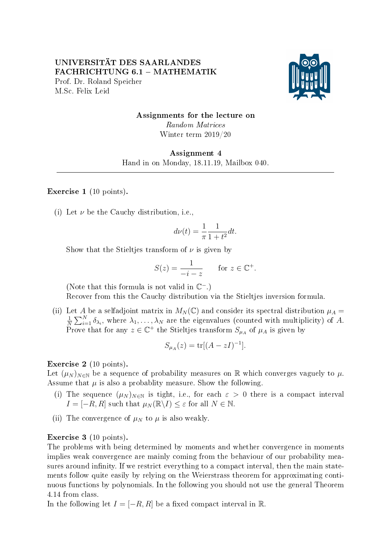

Assignments for the lecture on Random Matrices Winter term 2019/20

Assignment 4 Hand in on Monday, 18.11.19, Mailbox 040.

Exercise 1 (10 points).

(i) Let  $\nu$  be the Cauchy distribution, i.e.,

$$
d\nu(t) = \frac{1}{\pi} \frac{1}{1+t^2} dt.
$$

Show that the Stieltjes transform of  $\nu$  is given by

$$
S(z) = \frac{1}{-i - z} \quad \text{for } z \in \mathbb{C}^+.
$$

(Note that this formula is not valid in  $\mathbb{C}^-$ .)

Recover from this the Cauchy distribution via the Stieltjes inversion formula.

(ii) Let A be a selfadjoint matrix in  $M_N(\mathbb{C})$  and consider its spectral distribution  $\mu_A =$ 1  $\frac{1}{N}\sum_{i=1}^N \delta_{\lambda_i}$ , where  $\lambda_1, \ldots, \lambda_N$  are the eigenvalues (counted with multiplicity) of A. Prove that for any  $z \in \mathbb{C}^+$  the Stieltjes transform  $S_{\mu_A}$  of  $\mu_A$  is given by

$$
S_{\mu_A}(z) = \text{tr}[(A - zI)^{-1}].
$$

Exercise 2 (10 points).

Let  $(\mu_N)_{N\in\mathbb{N}}$  be a sequence of probability measures on R which converges vaguely to  $\mu$ . Assume that  $\mu$  is also a probablity measure. Show the following.

- (i) The sequence  $(\mu_N)_{N\in\mathbb{N}}$  is tight, i.e., for each  $\varepsilon > 0$  there is a compact interval  $I = [-R, R]$  such that  $\mu_N(\mathbb{R}\setminus I) \leq \varepsilon$  for all  $N \in \mathbb{N}$ .
- (ii) The convergence of  $\mu_N$  to  $\mu$  is also weakly.

Exercise 3 (10 points).

The problems with being determined by moments and whether convergence in moments implies weak convergence are mainly coming from the behaviour of our probability measures around infinity. If we restrict everything to a compact interval, then the main statements follow quite easily by relying on the Weierstrass theorem for approximating continuous functions by polynomials. In the following you should not use the general Theorem 4.14 from class.

In the following let  $I = [-R, R]$  be a fixed compact interval in R.